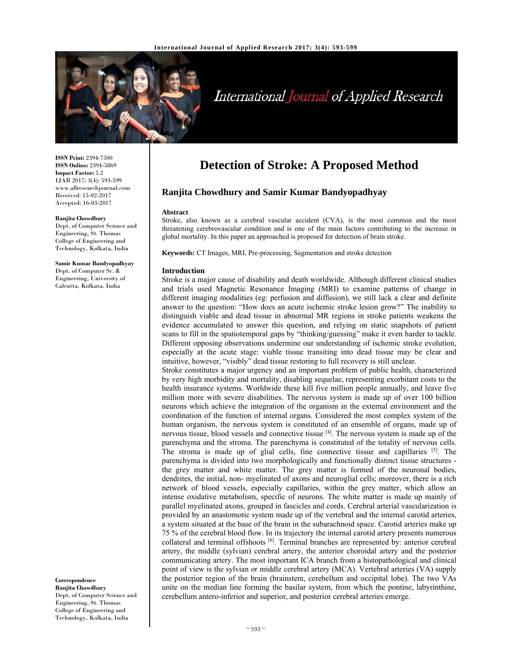

# International Journal of Applied Research

**ISSN Print:** 2394-7500 **ISSN Online:** 2394-5869 **Impact Factor:** 5.2 IJAR 2017; 3(4): 593-599 www.allresearchjournal.com Received: 15-02-2017 Accepted: 16-03-2017

#### **Ranjita Chowdhury**

Dept. of Computer Science and Engineering, St. Thomas College of Engineering and Technology, Kolkata, India

**Samir Kumar Bandyopadhyay**  Dept. of Computer Sc. & Engineering, University of Calcutta, Kolkata, India

**Correspondence Ranjita Chowdhury**  Dept. of Computer Science and Engineering, St. Thomas College of Engineering and Technology, Kolkata, India

# **Detection of Stroke: A Proposed Method**

# **Ranjita Chowdhury and Samir Kumar Bandyopadhyay**

#### **Abstract**

Stroke, also known as a cerebral vascular accident (CVA), is the most common and the most threatening cerebrovascular condition and is one of the main factors contributing to the increase in global mortality. In this paper an approached is proposed for detection of brain stroke.

**Keywords:** CT Images, MRI, Pre-processing, Segmentation and stroke detection

#### **Introduction**

Stroke is a major cause of disability and death worldwide. Although different clinical studies and trials used Magnetic Resonance Imaging (MRI) to examine patterns of change in different imaging modalities (eg: perfusion and diffusion), we still lack a clear and definite answer to the question: "How does an acute ischemic stroke lesion grow?" The inability to distinguish viable and dead tissue in abnormal MR regions in stroke patients weakens the evidence accumulated to answer this question, and relying on static snapshots of patient scans to fill in the spatiotemporal gaps by "thinking/guessing" make it even harder to tackle. Different opposing observations undermine our understanding of ischemic stroke evolution, especially at the acute stage: viable tissue transiting into dead tissue may be clear and intuitive, however, "visibly" dead tissue restoring to full recovery is still unclear.

Stroke constitutes a major urgency and an important problem of public health, characterized by very high morbidity and mortality, disabling sequelae, representing exorbitant costs to the health insurance systems. Worldwide these kill five million people annually, and leave five million more with severe disabilities. The nervous system is made up of over 100 billion neurons which achieve the integration of the organism in the external environment and the coordination of the function of internal organs. Considered the most complex system of the human organism, the nervous system is constituted of an ensemble of organs, made up of nervous tissue, blood vessels and connective tissue  $[4]$ . The nervous system is made up of the parenchyma and the stroma. The parenchyma is constituted of the totality of nervous cells. The stroma is made up of glial cells, fine connective tissue and capillaries  $[5]$ . The parenchyma is divided into two morphologically and functionally distinct tissue structures the grey matter and white matter. The grey matter is formed of the neuronal bodies, dendrites, the initial, non- myelinated of axons and neuroglial cells; moreover, there is a rich network of blood vessels, especially capillaries, within the grey matter, which allow an intense oxidative metabolism, specific of neurons. The white matter is made up mainly of parallel myelinated axons, grouped in fascicles and cords. Cerebral arterial vascularization is provided by an anastomotic system made up of the vertebral and the internal carotid arteries, a system situated at the base of the brain in the subarachnoid space. Carotid arteries make up 75 % of the cerebral blood flow. In its trajectory the internal carotid artery presents numerous collateral and terminal offshoots [6]. Terminal branches are represented by: anterior cerebral artery, the middle (sylvian) cerebral artery, the anterior choroidal artery and the posterior communicating artery. The most important ICA branch from a histopathological and clinical point of view is the sylvian or middle cerebral artery (MCA). Vertebral arteries (VA) supply the posterior region of the brain (brainstem, cerebellum and occipital lobe). The two VAs unite on the median line forming the basilar system, from which the pontine, labyrinthine, cerebellum antero-inferior and superior, and posterior cerebral arteries emerge.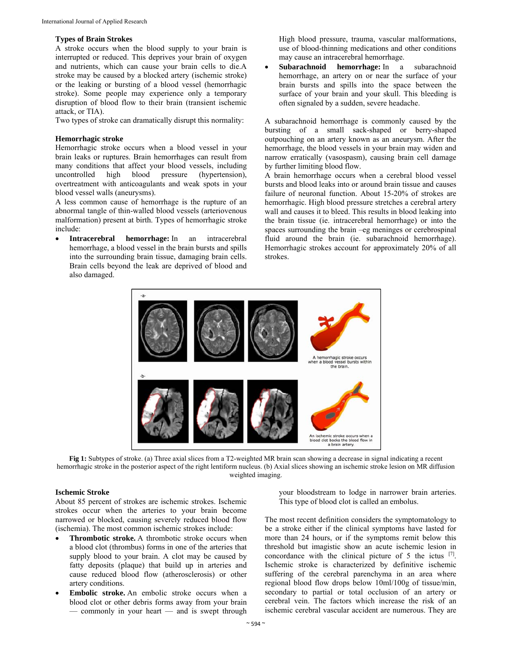#### **Types of Brain Strokes**

A stroke occurs when the blood supply to your brain is interrupted or reduced. This deprives your brain of oxygen and nutrients, which can cause your brain cells to die.A stroke may be caused by a blocked artery (ischemic stroke) or the leaking or bursting of a blood vessel (hemorrhagic stroke). Some people may experience only a temporary disruption of blood flow to their brain (transient ischemic attack, or TIA).

Two types of stroke can dramatically disrupt this normality:

#### **Hemorrhagic stroke**

Hemorrhagic stroke occurs when a blood vessel in your brain leaks or ruptures. Brain hemorrhages can result from many conditions that affect your blood vessels, including uncontrolled high blood pressure (hypertension), overtreatment with anticoagulants and weak spots in your blood vessel walls (aneurysms).

A less common cause of hemorrhage is the rupture of an abnormal tangle of thin-walled blood vessels (arteriovenous malformation) present at birth. Types of hemorrhagic stroke include:

 **Intracerebral hemorrhage:** In an intracerebral hemorrhage, a blood vessel in the brain bursts and spills into the surrounding brain tissue, damaging brain cells. Brain cells beyond the leak are deprived of blood and also damaged.

High blood pressure, trauma, vascular malformations, use of blood-thinning medications and other conditions may cause an intracerebral hemorrhage.

 **Subarachnoid hemorrhage:** In a subarachnoid hemorrhage, an artery on or near the surface of your brain bursts and spills into the space between the surface of your brain and your skull. This bleeding is often signaled by a sudden, severe headache.

A subarachnoid hemorrhage is commonly caused by the bursting of a small sack-shaped or berry-shaped outpouching on an artery known as an aneurysm. After the hemorrhage, the blood vessels in your brain may widen and narrow erratically (vasospasm), causing brain cell damage by further limiting blood flow.

A brain hemorrhage occurs when a cerebral blood vessel bursts and blood leaks into or around brain tissue and causes failure of neuronal function. About 15-20% of strokes are hemorrhagic. High blood pressure stretches a cerebral artery wall and causes it to bleed. This results in blood leaking into the brain tissue (ie. intracerebral hemorrhage) or into the spaces surrounding the brain –eg meninges or cerebrospinal fluid around the brain (ie. subarachnoid hemorrhage). Hemorrhagic strokes account for approximately 20% of all strokes.



**Fig 1:** Subtypes of stroke. (a) Three axial slices from a T2-weighted MR brain scan showing a decrease in signal indicating a recent hemorrhagic stroke in the posterior aspect of the right lentiform nucleus. (b) Axial slices showing an ischemic stroke lesion on MR diffusion weighted imaging.

#### **Ischemic Stroke**

About 85 percent of strokes are ischemic strokes. Ischemic strokes occur when the arteries to your brain become narrowed or blocked, causing severely reduced blood flow (ischemia). The most common ischemic strokes include:

- **Thrombotic stroke.** A thrombotic stroke occurs when a blood clot (thrombus) forms in one of the arteries that supply blood to your brain. A clot may be caused by fatty deposits (plaque) that build up in arteries and cause reduced blood flow (atherosclerosis) or other artery conditions.
- **Embolic stroke.** An embolic stroke occurs when a blood clot or other debris forms away from your brain — commonly in your heart — and is swept through

your bloodstream to lodge in narrower brain arteries. This type of blood clot is called an embolus.

The most recent definition considers the symptomatology to be a stroke either if the clinical symptoms have lasted for more than 24 hours, or if the symptoms remit below this threshold but imagistic show an acute ischemic lesion in concordance with the clinical picture of 5 the ictus [7]. Ischemic stroke is characterized by definitive ischemic suffering of the cerebral parenchyma in an area where regional blood flow drops below 10ml/100g of tissue/min, secondary to partial or total occlusion of an artery or cerebral vein. The factors which increase the risk of an ischemic cerebral vascular accident are numerous. They are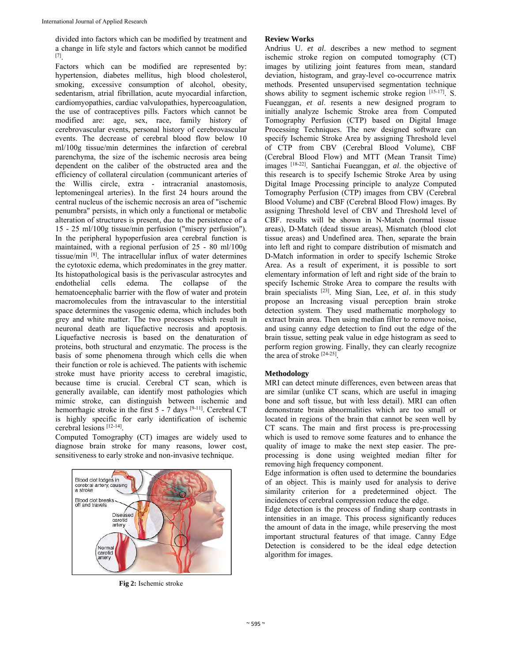divided into factors which can be modified by treatment and a change in life style and factors which cannot be modified [7].

Factors which can be modified are represented by: hypertension, diabetes mellitus, high blood cholesterol, smoking, excessive consumption of alcohol, obesity, sedentarism, atrial fibrillation, acute myocardial infarction, cardiomyopathies, cardiac valvulopathies, hypercoagulation, the use of contraceptives pills. Factors which cannot be modified are: age, sex, race, family history of cerebrovascular events, personal history of cerebrovascular events. The decrease of cerebral blood flow below 10 ml/100g tissue/min determines the infarction of cerebral parenchyma, the size of the ischemic necrosis area being dependent on the caliber of the obstructed area and the efficiency of collateral circulation (communicant arteries of the Willis circle, extra - intracranial anastomosis, leptomeningeal arteries). In the first 24 hours around the central nucleus of the ischemic necrosis an area of "ischemic penumbra" persists, in which only a functional or metabolic alteration of structures is present, due to the persistence of a 15 - 25 ml/100g tissue/min perfusion ("misery perfusion"). In the peripheral hypoperfusion area cerebral function is maintained, with a regional perfusion of 25 - 80 ml/100g tissue/min [8]. The intracellular influx of water determines the cytotoxic edema, which predominates in the grey matter. Its histopathological basis is the perivascular astrocytes and endothelial cells edema. The collapse of the hematoencephalic barrier with the flow of water and protein macromolecules from the intravascular to the interstitial space determines the vasogenic edema, which includes both grey and white matter. The two processes which result in neuronal death are liquefactive necrosis and apoptosis. Liquefactive necrosis is based on the denaturation of proteins, both structural and enzymatic. The process is the basis of some phenomena through which cells die when their function or role is achieved. The patients with ischemic stroke must have priority access to cerebral imagistic, because time is crucial. Cerebral CT scan, which is generally available, can identify most pathologies which mimic stroke, can distinguish between ischemic and hemorrhagic stroke in the first 5 - 7 days [9-11]. Cerebral CT is highly specific for early identification of ischemic cerebral lesions [12-14].

Computed Tomography (CT) images are widely used to diagnose brain stroke for many reasons, lower cost, sensitiveness to early stroke and non-invasive technique.



**Fig 2:** Ischemic stroke

### **Review Works**

Andrius U. *et al*. describes a new method to segment ischemic stroke region on computed tomography (CT) images by utilizing joint features from mean, standard deviation, histogram, and gray-level co-occurrence matrix methods. Presented unsupervised segmentation technique shows ability to segment ischemic stroke region [15-17]. S. Fueanggan, *et al*. resents a new designed program to initially analyze Ischemic Stroke area from Computed Tomography Perfusion (CTP) based on Digital Image Processing Techniques. The new designed software can specify Ischemic Stroke Area by assigning Threshold level of CTP from CBV (Cerebral Blood Volume), CBF (Cerebral Blood Flow) and MTT (Mean Transit Time) images [18-22]. Santichai Fueanggan, *et al*. the objective of this research is to specify Ischemic Stroke Area by using Digital Image Processing principle to analyze Computed Tomography Perfusion (CTP) images from CBV (Cerebral Blood Volume) and CBF (Cerebral Blood Flow) images. By assigning Threshold level of CBV and Threshold level of CBF. results will be shown in N-Match (normal tissue areas), D-Match (dead tissue areas), Mismatch (blood clot tissue areas) and Undefined area. Then, separate the brain into left and right to compare distribution of mismatch and D-Match information in order to specify Ischemic Stroke Area. As a result of experiment, it is possible to sort elementary information of left and right side of the brain to specify Ischemic Stroke Area to compare the results with brain specialists [23]. Ming Sian, Lee, *et al*. in this study propose an Increasing visual perception brain stroke detection system. They used mathematic morphology to extract brain area. Then using median filter to remove noise, and using canny edge detection to find out the edge of the brain tissue, setting peak value in edge histogram as seed to perform region growing. Finally, they can clearly recognize the area of stroke [24-25].

# **Methodology**

MRI can detect minute differences, even between areas that are similar (unlike CT scans, which are useful in imaging bone and soft tissue, but with less detail). MRI can often demonstrate brain abnormalities which are too small or located in regions of the brain that cannot be seen well by CT scans. The main and first process is pre-processing which is used to remove some features and to enhance the quality of image to make the next step easier. The preprocessing is done using weighted median filter for removing high frequency component.

Edge information is often used to determine the boundaries of an object. This is mainly used for analysis to derive similarity criterion for a predetermined object. The incidences of cerebral compression reduce the edge.

Edge detection is the process of finding sharp contrasts in intensities in an image. This process significantly reduces the amount of data in the image, while preserving the most important structural features of that image. Canny Edge Detection is considered to be the ideal edge detection algorithm for images.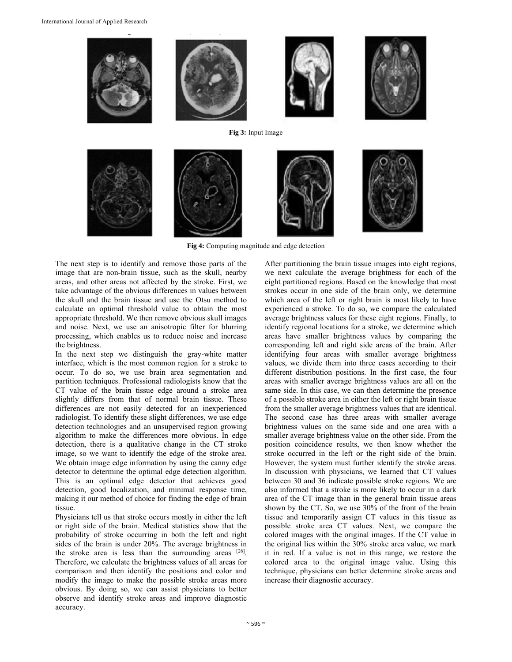

**Fig 4:** Computing magnitude and edge detection

The next step is to identify and remove those parts of the image that are non-brain tissue, such as the skull, nearby areas, and other areas not affected by the stroke. First, we take advantage of the obvious differences in values between the skull and the brain tissue and use the Otsu method to calculate an optimal threshold value to obtain the most appropriate threshold. We then remove obvious skull images and noise. Next, we use an anisotropic filter for blurring processing, which enables us to reduce noise and increase the brightness.

In the next step we distinguish the gray-white matter interface, which is the most common region for a stroke to occur. To do so, we use brain area segmentation and partition techniques. Professional radiologists know that the CT value of the brain tissue edge around a stroke area slightly differs from that of normal brain tissue. These differences are not easily detected for an inexperienced radiologist. To identify these slight differences, we use edge detection technologies and an unsupervised region growing algorithm to make the differences more obvious. In edge detection, there is a qualitative change in the CT stroke image, so we want to identify the edge of the stroke area. We obtain image edge information by using the canny edge detector to determine the optimal edge detection algorithm. This is an optimal edge detector that achieves good detection, good localization, and minimal response time, making it our method of choice for finding the edge of brain tissue.

Physicians tell us that stroke occurs mostly in either the left or right side of the brain. Medical statistics show that the probability of stroke occurring in both the left and right sides of the brain is under 20%. The average brightness in the stroke area is less than the surrounding areas  $[26]$ . Therefore, we calculate the brightness values of all areas for comparison and then identify the positions and color and modify the image to make the possible stroke areas more obvious. By doing so, we can assist physicians to better observe and identify stroke areas and improve diagnostic accuracy.

After partitioning the brain tissue images into eight regions, we next calculate the average brightness for each of the eight partitioned regions. Based on the knowledge that most strokes occur in one side of the brain only, we determine which area of the left or right brain is most likely to have experienced a stroke. To do so, we compare the calculated average brightness values for these eight regions. Finally, to identify regional locations for a stroke, we determine which areas have smaller brightness values by comparing the corresponding left and right side areas of the brain. After identifying four areas with smaller average brightness values, we divide them into three cases according to their different distribution positions. In the first case, the four areas with smaller average brightness values are all on the same side. In this case, we can then determine the presence of a possible stroke area in either the left or right brain tissue from the smaller average brightness values that are identical. The second case has three areas with smaller average brightness values on the same side and one area with a smaller average brightness value on the other side. From the position coincidence results, we then know whether the stroke occurred in the left or the right side of the brain. However, the system must further identify the stroke areas. In discussion with physicians, we learned that CT values between 30 and 36 indicate possible stroke regions. We are also informed that a stroke is more likely to occur in a dark area of the CT image than in the general brain tissue areas shown by the CT. So, we use 30% of the front of the brain tissue and temporarily assign CT values in this tissue as possible stroke area CT values. Next, we compare the colored images with the original images. If the CT value in the original lies within the 30% stroke area value, we mark it in red. If a value is not in this range, we restore the colored area to the original image value. Using this technique, physicians can better determine stroke areas and increase their diagnostic accuracy.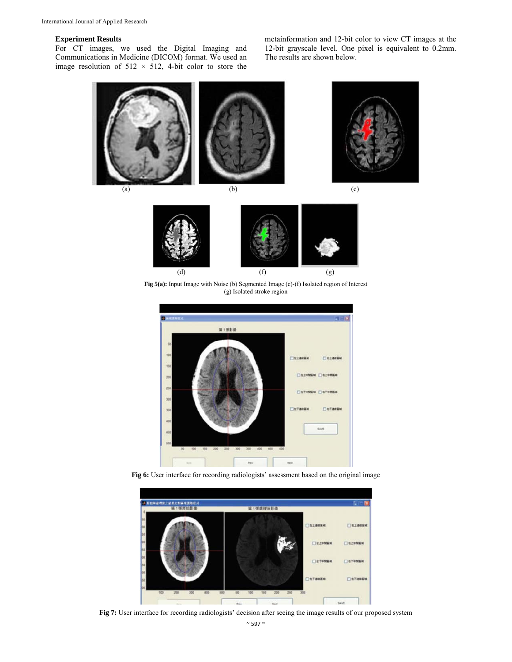#### **Experiment Results**

For CT images, we used the Digital Imaging and Communications in Medicine (DICOM) format. We used an image resolution of  $512 \times 512$ , 4-bit color to store the metainformation and 12-bit color to view CT images at the 12-bit grayscale level. One pixel is equivalent to 0.2mm. The results are shown below.



Fig 5(a): Input Image with Noise (b) Segmented Image (c)-(f) Isolated region of Interest (g) Isolated stroke region



Fig 6: User interface for recording radiologists' assessment based on the original image



**Fig 7:** User interface for recording radiologists' decision after seeing the image results of our proposed system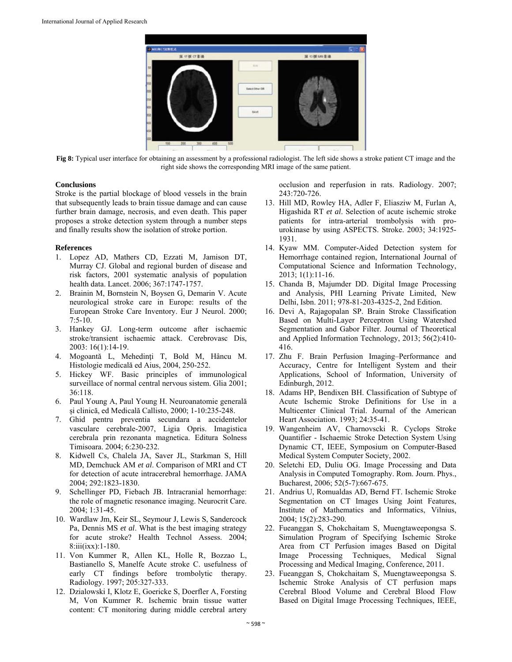

**Fig 8:** Typical user interface for obtaining an assessment by a professional radiologist. The left side shows a stroke patient CT image and the right side shows the corresponding MRI image of the same patient.

#### **Conclusions**

Stroke is the partial blockage of blood vessels in the brain that subsequently leads to brain tissue damage and can cause further brain damage, necrosis, and even death. This paper proposes a stroke detection system through a number steps and finally results show the isolation of stroke portion.

#### **References**

- 1. Lopez AD, Mathers CD, Ezzati M, Jamison DT, Murray CJ. Global and regional burden of disease and risk factors, 2001 systematic analysis of population health data. Lancet. 2006; 367:1747-1757.
- 2. Brainin M, Bornstein N, Boysen G, Demarin V. Acute neurological stroke care in Europe: results of the European Stroke Care Inventory. Eur J Neurol. 2000;  $7:5-10.$
- 3. Hankey GJ. Long-term outcome after ischaemic stroke/transient ischaemic attack. Cerebrovasc Dis, 2003: 16(1):14-19.
- 4. Mogoantă L, Mehedinţi T, Bold M, Hâncu M. Histologie medicală ed Aius, 2004, 250-252.
- 5. Hickey WF. Basic principles of immunological surveillace of normal central nervous sistem. Glia 2001; 36:118.
- 6. Paul Young A, Paul Young H. Neuroanatomie generală și clinică, ed Medicală Callisto, 2000; 1-10:235-248.
- 7. Ghid pentru preventia secundara a accidentelor vasculare cerebrale-2007, Ligia Opris. Imagistica cerebrala prin rezonanta magnetica. Editura Solness Timisoara. 2004; 6:230-232.
- 8. Kidwell Cs, Chalela JA, Saver JL, Starkman S, Hill MD, Demchuck AM *et al*. Comparison of MRI and CT for detection of acute intracerebral hemorrhage. JAMA 2004; 292:1823-1830.
- 9. Schellinger PD, Fiebach JB. Intracranial hemorrhage: the role of magnetic resonance imaging. Neurocrit Care. 2004; 1:31-45.
- 10. Wardlaw Jm, Keir SL, Seymour J, Lewis S, Sandercock Pa, Dennis MS *et al*. What is the best imaging strategy for acute stroke? Health Technol Assess. 2004; 8:iii(ixx):1-180.
- 11. Von Kummer R, Allen KL, Holle R, Bozzao L, Bastianello S, Manelfe Acute stroke C. usefulness of early CT findings before trombolytic therapy. Radiology. 1997; 205:327-333.
- 12. Dzialowski I, Klotz E, Goericke S, Doerfler A, Forsting M, Von Kummer R. Ischemic brain tissue watter content: CT monitoring during middle cerebral artery

occlusion and reperfusion in rats. Radiology. 2007; 243:720-726.

- 13. Hill MD, Rowley HA, Adler F, Eliasziw M, Furlan A, Higashida RT *et al*. Selection of acute ischemic stroke patients for intra-arterial trombolysis with prourokinase by using ASPECTS. Stroke. 2003; 34:1925- 1931.
- 14. Kyaw MM. Computer-Aided Detection system for Hemorrhage contained region, International Journal of Computational Science and Information Technology, 2013; 1(1):11-16.
- 15. Chanda B, Majumder DD. Digital Image Processing and Analysis, PHI Learning Private Limited, New Delhi, Isbn. 2011; 978-81-203-4325-2, 2nd Edition.
- 16. Devi A, Rajagopalan SP. Brain Stroke Classification Based on Multi-Layer Perceptron Using Watershed Segmentation and Gabor Filter. Journal of Theoretical and Applied Information Technology, 2013; 56(2):410- 416.
- 17. Zhu F. Brain Perfusion Imaging–Performance and Accuracy, Centre for Intelligent System and their Applications, School of Information, University of Edinburgh, 2012.
- 18. Adams HP, Bendixen BH. Classification of Subtype of Acute Ischemic Stroke Definitions for Use in a Multicenter Clinical Trial. Journal of the American Heart Association. 1993; 24:35-41.
- 19. Wangenheim AV, Charnovscki R. Cyclops Stroke Quantifier - Ischaemic Stroke Detection System Using Dynamic CT, IEEE, Symposium on Computer-Based Medical System Computer Society, 2002.
- 20. Seletchi ED, Duliu OG. Image Processing and Data Analysis in Computed Tomography. Rom. Journ. Phys., Bucharest, 2006; 52(5-7):667-675.
- 21. Andrius U, Romualdas AD, Bernd FT. Ischemic Stroke Segmentation on CT Images Using Joint Features, Institute of Mathematics and Informatics, Vilnius, 2004; 15(2):283-290.
- 22. Fueanggan S, Chokchaitam S, Muengtaweepongsa S. Simulation Program of Specifying Ischemic Stroke Area from CT Perfusion images Based on Digital Image Processing Techniques, Medical Signal Processing and Medical Imaging, Conference, 2011.
- 23. Fueanggan S, Chokchaitam S, Muengtaweepongsa S. Ischemic Stroke Analysis of CT perfusion maps Cerebral Blood Volume and Cerebral Blood Flow Based on Digital Image Processing Techniques, IEEE,